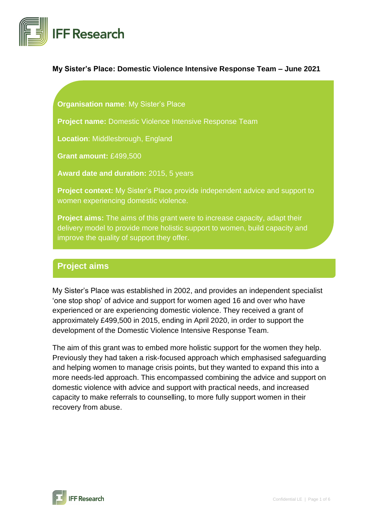

### **My Sister's Place: Domestic Violence Intensive Response Team – June 2021**

**Organisation name**: My Sister's Place

**Project name:** Domestic Violence Intensive Response Team

**Location**: Middlesbrough, England

**Grant amount:** £499,500

**Award date and duration:** 2015, 5 years

**Project context:** My Sister's Place provide independent advice and support to women experiencing domestic violence.

**Project aims:** The aims of this grant were to increase capacity, adapt their delivery model to provide more holistic support to women, build capacity and improve the quality of support they offer.

### **Project aims**

My Sister's Place was established in 2002, and provides an independent specialist 'one stop shop' of advice and support for women aged 16 and over who have experienced or are experiencing domestic violence. They received a grant of approximately £499,500 in 2015, ending in April 2020, in order to support the development of the Domestic Violence Intensive Response Team.

The aim of this grant was to embed more holistic support for the women they help. Previously they had taken a risk-focused approach which emphasised safeguarding and helping women to manage crisis points, but they wanted to expand this into a more needs-led approach. This encompassed combining the advice and support on domestic violence with advice and support with practical needs, and increased capacity to make referrals to counselling, to more fully support women in their recovery from abuse.

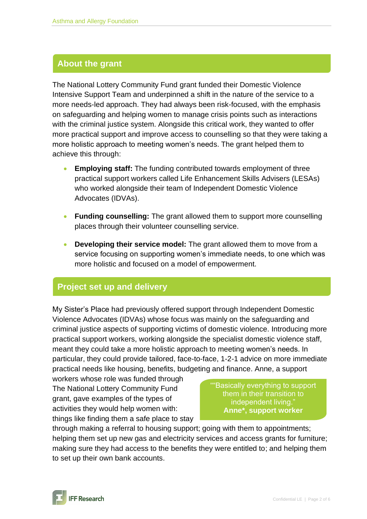## **About the grant**

The National Lottery Community Fund grant funded their Domestic Violence Intensive Support Team and underpinned a shift in the nature of the service to a more needs-led approach. They had always been risk-focused, with the emphasis on safeguarding and helping women to manage crisis points such as interactions with the criminal justice system. Alongside this critical work, they wanted to offer more practical support and improve access to counselling so that they were taking a more holistic approach to meeting women's needs. The grant helped them to achieve this through:

- **Employing staff:** The funding contributed towards employment of three practical support workers called Life Enhancement Skills Advisers (LESAs) who worked alongside their team of Independent Domestic Violence Advocates (IDVAs).
- **Funding counselling:** The grant allowed them to support more counselling places through their volunteer counselling service.
- **Developing their service model:** The grant allowed them to move from a service focusing on supporting women's immediate needs, to one which was more holistic and focused on a model of empowerment.

# **Project set up and delivery**

My Sister's Place had previously offered support through Independent Domestic Violence Advocates (IDVAs) whose focus was mainly on the safeguarding and criminal justice aspects of supporting victims of domestic violence. Introducing more practical support workers, working alongside the specialist domestic violence staff, meant they could take a more holistic approach to meeting women's needs. In particular, they could provide tailored, face-to-face, 1-2-1 advice on more immediate practical needs like housing, benefits, budgeting and finance. Anne, a support

workers whose role was funded through The National Lottery Community Fund grant, gave examples of the types of activities they would help women with: things like finding them a safe place to stay

""Basically everything to support them in their transition to independent living. **Anne\*, support worker**

through making a referral to housing support; going with them to appointments; helping them set up new gas and electricity services and access grants for furniture; making sure they had access to the benefits they were entitled to; and helping them to set up their own bank accounts.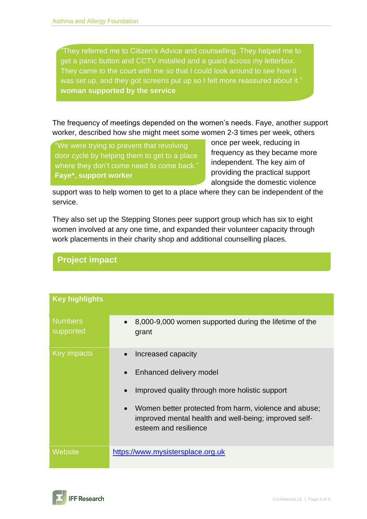They referred me to Citizen's Advice and counselling. They helped me to get a panic button and CCTV installed and a guard across my letterbox. They came to the court with me so that I could look around to see how it was set up, and they got screens put up so I felt more reassured about it." **woman supported by the service**

The frequency of meetings depended on the women's needs. Faye, another support worker, described how she might meet some women 2-3 times per week, others

"We were trying to prevent that revolving door cycle by helping them to get to a place where they don't come need to come back." **Faye\*, support worker**

once per week, reducing in frequency as they became more independent. The key aim of providing the practical support alongside the domestic violence

support was to help women to get to a place where they can be independent of the service.

They also set up the Stepping Stones peer support group which has six to eight women involved at any one time, and expanded their volunteer capacity through work placements in their charity shop and additional counselling places.

| <b>Key highlights</b>       |                                                                                                                                                                                                                                                         |
|-----------------------------|---------------------------------------------------------------------------------------------------------------------------------------------------------------------------------------------------------------------------------------------------------|
| <b>Numbers</b><br>supported | 8,000-9,000 women supported during the lifetime of the<br>grant                                                                                                                                                                                         |
| Key impacts                 | Increased capacity<br>Enhanced delivery model<br>Improved quality through more holistic support<br>Women better protected from harm, violence and abuse;<br>$\bullet$<br>improved mental health and well-being; improved self-<br>esteem and resilience |
| Website                     | https://www.mysistersplace.org.uk                                                                                                                                                                                                                       |

# **Project impact**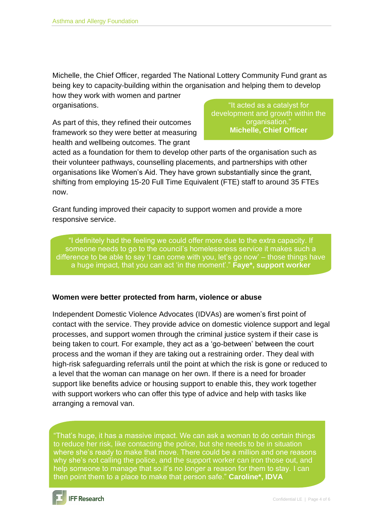Michelle, the Chief Officer, regarded The National Lottery Community Fund grant as being key to capacity-building within the organisation and helping them to develop how they work with women and partner

organisations.

As part of this, they refined their outcomes framework so they were better at measuring health and wellbeing outcomes. The grant

"It acted as a catalyst for development and growth within the organisation." **Michelle, Chief Officer**

acted as a foundation for them to develop other parts of the organisation such as their volunteer pathways, counselling placements, and partnerships with other organisations like Women's Aid. They have grown substantially since the grant, shifting from employing 15-20 Full Time Equivalent (FTE) staff to around 35 FTEs now.

Grant funding improved their capacity to support women and provide a more responsive service.

"I definitely had the feeling we could offer more due to the extra capacity. If someone needs to go to the council's homelessness service it makes such a difference to be able to say 'I can come with you, let's go now' – those things have a huge impact, that you can act 'in the moment'." **Faye\*, support worker**

#### **Women were better protected from harm, violence or abuse**

Independent Domestic Violence Advocates (IDVAs) are women's first point of contact with the service. They provide advice on domestic violence support and legal processes, and support women through the criminal justice system if their case is being taken to court. For example, they act as a 'go-between' between the court process and the woman if they are taking out a restraining order. They deal with high-risk safeguarding referrals until the point at which the risk is gone or reduced to a level that the woman can manage on her own. If there is a need for broader support like benefits advice or housing support to enable this, they work together with support workers who can offer this type of advice and help with tasks like arranging a removal van.

"That's huge, it has a massive impact. We can ask a woman to do certain things to reduce her risk, like contacting the police, but she needs to be in situation where she's ready to make that move. There could be a million and one reasons why she's not calling the police, and the support worker can iron those out, and help someone to manage that so it's no longer a reason for them to stay. I can then point them to a place to make that person safe." **Caroline\*, IDVA**

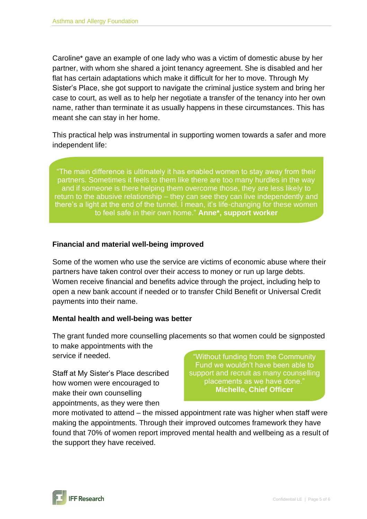Caroline\* gave an example of one lady who was a victim of domestic abuse by her partner, with whom she shared a joint tenancy agreement. She is disabled and her flat has certain adaptations which make it difficult for her to move. Through My Sister's Place, she got support to navigate the criminal justice system and bring her case to court, as well as to help her negotiate a transfer of the tenancy into her own name, rather than terminate it as usually happens in these circumstances. This has meant she can stay in her home.

This practical help was instrumental in supporting women towards a safer and more independent life:

"The main difference is ultimately it has enabled women to stay away from their partners. Sometimes it feels to them like there are too many hurdles in the way and if someone is there helping them overcome those, they are less likely to return to the abusive relationship – they can see they can live independently and there's a light at the end of the tunnel. I mean, it's life-changing for these women to feel safe in their own home." **Anne\*, support worker**

#### **Financial and material well-being improved**

Some of the women who use the service are victims of economic abuse where their partners have taken control over their access to money or run up large debts. Women receive financial and benefits advice through the project, including help to open a new bank account if needed or to transfer Child Benefit or Universal Credit payments into their name.

#### **Mental health and well-being was better**

The grant funded more counselling placements so that women could be signposted to make appointments with the

service if needed.

Staff at My Sister's Place described how women were encouraged to make their own counselling appointments, as they were then

"Without funding from the Community Fund we wouldn't have been able to support and recruit as many counselling placements as we have done." **Michelle, Chief Officer**

more motivated to attend – the missed appointment rate was higher when staff were making the appointments. Through their improved outcomes framework they have found that 70% of women report improved mental health and wellbeing as a result of the support they have received.